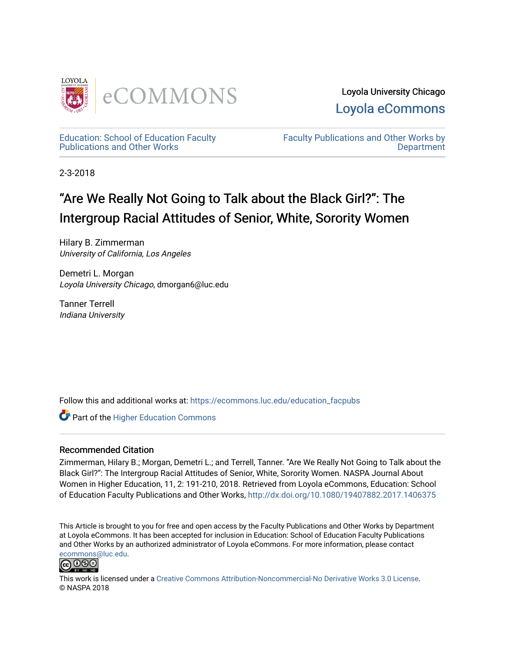

Loyola University Chicago [Loyola eCommons](https://ecommons.luc.edu/) 

[Education: School of Education Faculty](https://ecommons.luc.edu/education_facpubs)  [Publications and Other Works](https://ecommons.luc.edu/education_facpubs) 

[Faculty Publications and Other Works by](https://ecommons.luc.edu/faculty)  **Department** 

2-3-2018

# "Are We Really Not Going to Talk about the Black Girl?": The Intergroup Racial Attitudes of Senior, White, Sorority Women

Hilary B. Zimmerman University of California, Los Angeles

Demetri L. Morgan Loyola University Chicago, dmorgan6@luc.edu

Tanner Terrell Indiana University

Follow this and additional works at: [https://ecommons.luc.edu/education\\_facpubs](https://ecommons.luc.edu/education_facpubs?utm_source=ecommons.luc.edu%2Feducation_facpubs%2F118&utm_medium=PDF&utm_campaign=PDFCoverPages) 

**Part of the Higher Education Commons** 

### Recommended Citation

Zimmerman, Hilary B.; Morgan, Demetri L.; and Terrell, Tanner. "Are We Really Not Going to Talk about the Black Girl?": The Intergroup Racial Attitudes of Senior, White, Sorority Women. NASPA Journal About Women in Higher Education, 11, 2: 191-210, 2018. Retrieved from Loyola eCommons, Education: School of Education Faculty Publications and Other Works, <http://dx.doi.org/10.1080/19407882.2017.1406375>

This Article is brought to you for free and open access by the Faculty Publications and Other Works by Department at Loyola eCommons. It has been accepted for inclusion in Education: School of Education Faculty Publications and Other Works by an authorized administrator of Loyola eCommons. For more information, please contact [ecommons@luc.edu](mailto:ecommons@luc.edu).



This work is licensed under a [Creative Commons Attribution-Noncommercial-No Derivative Works 3.0 License.](https://creativecommons.org/licenses/by-nc-nd/3.0/) © NASPA 2018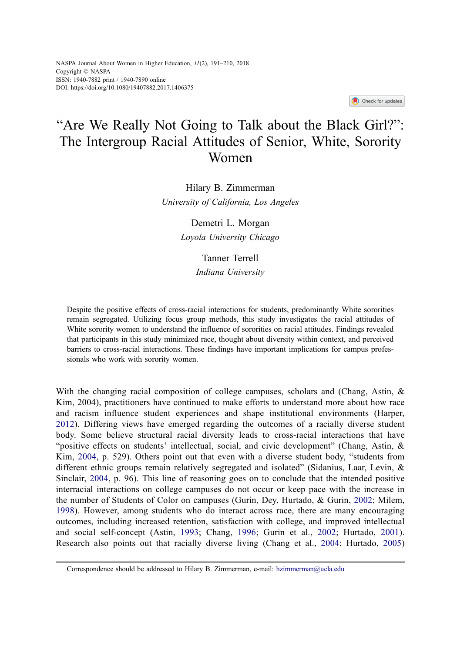Check for updates

# "Are We Really Not Going to Talk about the Black Girl?": The Intergroup Racial Attitudes of Senior, White, Sorority Women

## Hilary B. Zimmerman University of California, Los Angeles

Demetri L. Morgan Loyola University Chicago

Tanner Terrell

Indiana University

Despite the positive effects of cross-racial interactions for students, predominantly White sororities remain segregated. Utilizing focus group methods, this study investigates the racial attitudes of White sorority women to understand the influence of sororities on racial attitudes. Findings revealed that participants in this study minimized race, thought about diversity within context, and perceived barriers to cross-racial interactions. These findings have important implications for campus professionals who work with sorority women.

With the changing racial composition of college campuses, scholars and (Chang, Astin, & Kim, 2004), practitioners have continued to make efforts to understand more about how race and racism influence student experiences and shape institutional environments (Harper, [2012](#page-18-0)). Differing views have emerged regarding the outcomes of a racially diverse student body. Some believe structural racial diversity leads to cross-racial interactions that have "positive effects on students' intellectual, social, and civic development" (Chang, Astin, & Kim, [2004](#page-18-0), p. 529). Others point out that even with a diverse student body, "students from different ethnic groups remain relatively segregated and isolated" (Sidanius, Laar, Levin, & Sinclair, [2004](#page-20-0), p. 96). This line of reasoning goes on to conclude that the intended positive interracial interactions on college campuses do not occur or keep pace with the increase in the number of Students of Color on campuses (Gurin, Dey, Hurtado, & Gurin, [2002;](#page-18-0) Milem, [1998](#page-19-0)). However, among students who do interact across race, there are many encouraging outcomes, including increased retention, satisfaction with college, and improved intellectual and social self-concept (Astin, [1993](#page-17-0); Chang, [1996](#page-17-0); Gurin et al., [2002;](#page-18-0) Hurtado, [2001](#page-18-0)). Research also points out that racially diverse living (Chang et al., [2004](#page-18-0); Hurtado, [2005\)](#page-18-0)

Correspondence should be addressed to Hilary B. Zimmerman, e-mail: [hzimmerman@ucla.edu](mailto:hzimmerman@ucla.edu)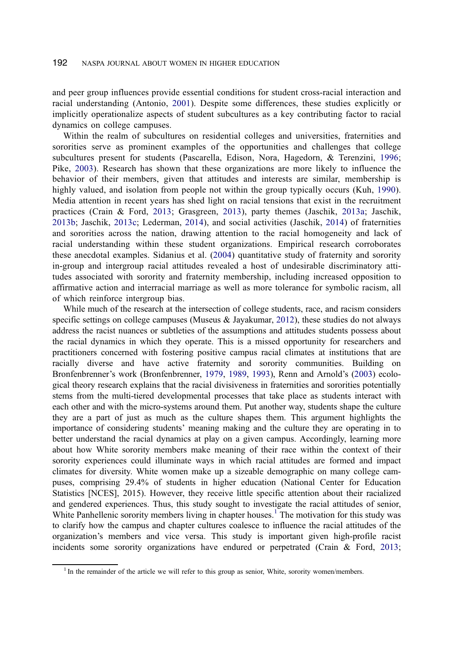and peer group influences provide essential conditions for student cross-racial interaction and racial understanding (Antonio, [2001](#page-17-0)). Despite some differences, these studies explicitly or implicitly operationalize aspects of student subcultures as a key contributing factor to racial dynamics on college campuses.

Within the realm of subcultures on residential colleges and universities, fraternities and sororities serve as prominent examples of the opportunities and challenges that college subcultures present for students (Pascarella, Edison, Nora, Hagedorn, & Terenzini, [1996](#page-19-0); Pike, [2003](#page-19-0)). Research has shown that these organizations are more likely to influence the behavior of their members, given that attitudes and interests are similar, membership is highly valued, and isolation from people not within the group typically occurs (Kuh, [1990](#page-19-0)). Media attention in recent years has shed light on racial tensions that exist in the recruitment practices (Crain & Ford, [2013](#page-18-0); Grasgreen, [2013](#page-18-0)), party themes (Jaschik, [2013a](#page-18-0); Jaschik, [2013b](#page-19-0); Jaschik, [2013c;](#page-19-0) Lederman, [2014\)](#page-19-0), and social activities (Jaschik, [2014\)](#page-19-0) of fraternities and sororities across the nation, drawing attention to the racial homogeneity and lack of racial understanding within these student organizations. Empirical research corroborates these anecdotal examples. Sidanius et al. [\(2004\)](#page-20-0) quantitative study of fraternity and sorority in-group and intergroup racial attitudes revealed a host of undesirable discriminatory attitudes associated with sorority and fraternity membership, including increased opposition to affirmative action and interracial marriage as well as more tolerance for symbolic racism, all of which reinforce intergroup bias.

While much of the research at the intersection of college students, race, and racism considers specific settings on college campuses (Museus & Jayakumar, [2012\)](#page-19-0), these studies do not always address the racist nuances or subtleties of the assumptions and attitudes students possess about the racial dynamics in which they operate. This is a missed opportunity for researchers and practitioners concerned with fostering positive campus racial climates at institutions that are racially diverse and have active fraternity and sorority communities. Building on Bronfenbrenner's work (Bronfenbrenner, [1979](#page-17-0), [1989](#page-17-0), [1993\)](#page-17-0), Renn and Arnold's ([2003\)](#page-20-0) ecological theory research explains that the racial divisiveness in fraternities and sororities potentially stems from the multi-tiered developmental processes that take place as students interact with each other and with the micro-systems around them. Put another way, students shape the culture they are a part of just as much as the culture shapes them. This argument highlights the importance of considering students' meaning making and the culture they are operating in to better understand the racial dynamics at play on a given campus. Accordingly, learning more about how White sorority members make meaning of their race within the context of their sorority experiences could illuminate ways in which racial attitudes are formed and impact climates for diversity. White women make up a sizeable demographic on many college campuses, comprising 29.4% of students in higher education (National Center for Education Statistics [NCES], 2015). However, they receive little specific attention about their racialized and gendered experiences. Thus, this study sought to investigate the racial attitudes of senior, White Panhellenic sorority members living in chapter houses.<sup>1</sup> The motivation for this study was to clarify how the campus and chapter cultures coalesce to influence the racial attitudes of the organization's members and vice versa. This study is important given high-profile racist incidents some sorority organizations have endured or perpetrated (Crain & Ford, [2013](#page-18-0);

 $<sup>1</sup>$  In the remainder of the article we will refer to this group as senior, White, sorority women/members.</sup>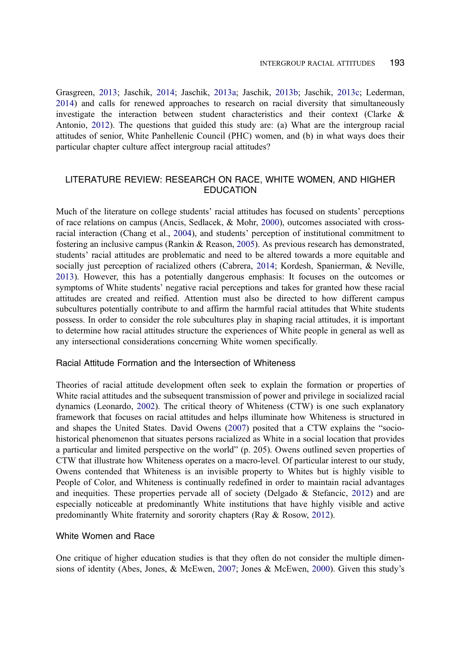Grasgreen, [2013](#page-18-0); Jaschik, [2014;](#page-19-0) Jaschik, [2013a](#page-18-0); Jaschik, [2013b;](#page-19-0) Jaschik, [2013c](#page-19-0); Lederman, [2014\)](#page-19-0) and calls for renewed approaches to research on racial diversity that simultaneously investigate the interaction between student characteristics and their context (Clarke  $\&$ Antonio, [2012](#page-18-0)). The questions that guided this study are: (a) What are the intergroup racial attitudes of senior, White Panhellenic Council (PHC) women, and (b) in what ways does their particular chapter culture affect intergroup racial attitudes?

#### LITERATURE REVIEW: RESEARCH ON RACE, WHITE WOMEN, AND HIGHER **EDUCATION**

Much of the literature on college students' racial attitudes has focused on students' perceptions of race relations on campus (Ancis, Sedlacek, & Mohr, [2000](#page-17-0)), outcomes associated with crossracial interaction (Chang et al., [2004](#page-18-0)), and students' perception of institutional commitment to fostering an inclusive campus (Rankin & Reason, [2005](#page-19-0)). As previous research has demonstrated, students' racial attitudes are problematic and need to be altered towards a more equitable and socially just perception of racialized others (Cabrera, [2014;](#page-17-0) Kordesh, Spanierman, & Neville, [2013\)](#page-19-0). However, this has a potentially dangerous emphasis: It focuses on the outcomes or symptoms of White students' negative racial perceptions and takes for granted how these racial attitudes are created and reified. Attention must also be directed to how different campus subcultures potentially contribute to and affirm the harmful racial attitudes that White students possess. In order to consider the role subcultures play in shaping racial attitudes, it is important to determine how racial attitudes structure the experiences of White people in general as well as any intersectional considerations concerning White women specifically.

#### Racial Attitude Formation and the Intersection of Whiteness

Theories of racial attitude development often seek to explain the formation or properties of White racial attitudes and the subsequent transmission of power and privilege in socialized racial dynamics (Leonardo, [2002\)](#page-19-0). The critical theory of Whiteness (CTW) is one such explanatory framework that focuses on racial attitudes and helps illuminate how Whiteness is structured in and shapes the United States. David Owens [\(2007](#page-19-0)) posited that a CTW explains the "sociohistorical phenomenon that situates persons racialized as White in a social location that provides a particular and limited perspective on the world" (p. 205). Owens outlined seven properties of CTW that illustrate how Whiteness operates on a macro-level. Of particular interest to our study, Owens contended that Whiteness is an invisible property to Whites but is highly visible to People of Color, and Whiteness is continually redefined in order to maintain racial advantages and inequities. These properties pervade all of society (Delgado  $\&$  Stefancic, [2012](#page-18-0)) and are especially noticeable at predominantly White institutions that have highly visible and active predominantly White fraternity and sorority chapters (Ray & Rosow, [2012\)](#page-20-0).

#### White Women and Race

One critique of higher education studies is that they often do not consider the multiple dimensions of identity (Abes, Jones, & McEwen, [2007](#page-17-0); Jones & McEwen, [2000](#page-19-0)). Given this study's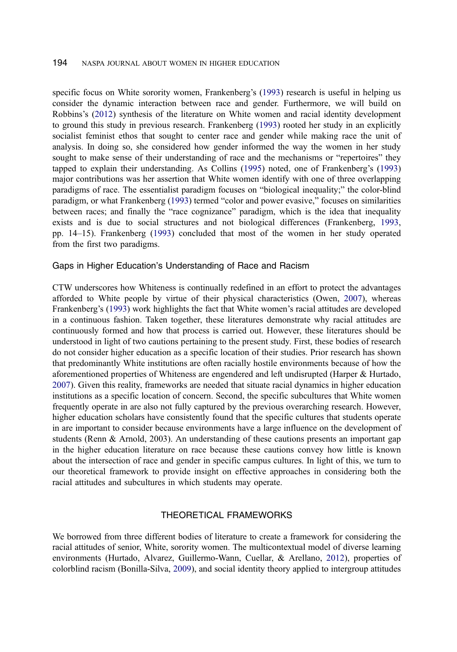specific focus on White sorority women, Frankenberg's [\(1993](#page-18-0)) research is useful in helping us consider the dynamic interaction between race and gender. Furthermore, we will build on Robbins's ([2012](#page-20-0)) synthesis of the literature on White women and racial identity development to ground this study in previous research. Frankenberg ([1993\)](#page-18-0) rooted her study in an explicitly socialist feminist ethos that sought to center race and gender while making race the unit of analysis. In doing so, she considered how gender informed the way the women in her study sought to make sense of their understanding of race and the mechanisms or "repertoires" they tapped to explain their understanding. As Collins ([1995\)](#page-18-0) noted, one of Frankenberg's ([1993\)](#page-18-0) major contributions was her assertion that White women identify with one of three overlapping paradigms of race. The essentialist paradigm focuses on "biological inequality;" the color-blind paradigm, or what Frankenberg [\(1993](#page-18-0)) termed "color and power evasive," focuses on similarities between races; and finally the "race cognizance" paradigm, which is the idea that inequality exists and is due to social structures and not biological differences (Frankenberg, [1993,](#page-18-0) pp. 14–15). Frankenberg [\(1993](#page-18-0)) concluded that most of the women in her study operated from the first two paradigms.

#### Gaps in Higher Education's Understanding of Race and Racism

CTW underscores how Whiteness is continually redefined in an effort to protect the advantages afforded to White people by virtue of their physical characteristics (Owen, [2007](#page-19-0)), whereas Frankenberg's [\(1993](#page-18-0)) work highlights the fact that White women's racial attitudes are developed in a continuous fashion. Taken together, these literatures demonstrate why racial attitudes are continuously formed and how that process is carried out. However, these literatures should be understood in light of two cautions pertaining to the present study. First, these bodies of research do not consider higher education as a specific location of their studies. Prior research has shown that predominantly White institutions are often racially hostile environments because of how the aforementioned properties of Whiteness are engendered and left undisrupted (Harper & Hurtado, [2007\)](#page-18-0). Given this reality, frameworks are needed that situate racial dynamics in higher education institutions as a specific location of concern. Second, the specific subcultures that White women frequently operate in are also not fully captured by the previous overarching research. However, higher education scholars have consistently found that the specific cultures that students operate in are important to consider because environments have a large influence on the development of students (Renn & Arnold, 2003). An understanding of these cautions presents an important gap in the higher education literature on race because these cautions convey how little is known about the intersection of race and gender in specific campus cultures. In light of this, we turn to our theoretical framework to provide insight on effective approaches in considering both the racial attitudes and subcultures in which students may operate.

#### THEORETICAL FRAMEWORKS

We borrowed from three different bodies of literature to create a framework for considering the racial attitudes of senior, White, sorority women. The multicontextual model of diverse learning environments (Hurtado, Alvarez, Guillermo-Wann, Cuellar, & Arellano, [2012\)](#page-18-0), properties of colorblind racism (Bonilla-Silva, [2009](#page-17-0)), and social identity theory applied to intergroup attitudes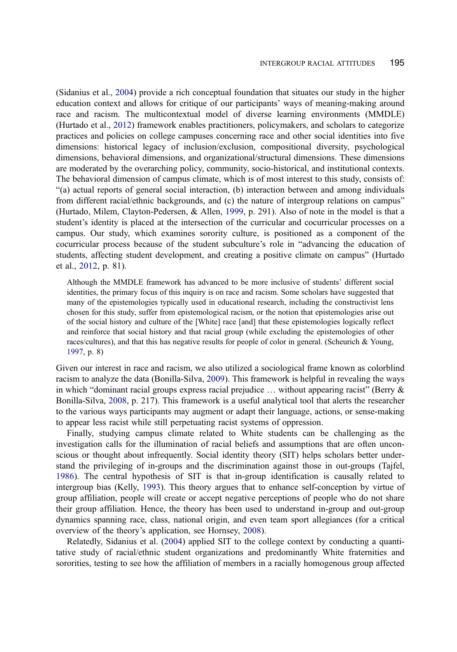(Sidanius et al., [2004](#page-20-0)) provide a rich conceptual foundation that situates our study in the higher education context and allows for critique of our participants' ways of meaning-making around race and racism. The multicontextual model of diverse learning environments (MMDLE) (Hurtado et al., [2012](#page-18-0)) framework enables practitioners, policymakers, and scholars to categorize practices and policies on college campuses concerning race and other social identities into five dimensions: historical legacy of inclusion/exclusion, compositional diversity, psychological dimensions, behavioral dimensions, and organizational/structural dimensions. These dimensions are moderated by the overarching policy, community, socio-historical, and institutional contexts. The behavioral dimension of campus climate, which is of most interest to this study, consists of: "(a) actual reports of general social interaction, (b) interaction between and among individuals from different racial/ethnic backgrounds, and (c) the nature of intergroup relations on campus" (Hurtado, Milem, Clayton-Pedersen, & Allen, [1999](#page-18-0), p. 291). Also of note in the model is that a student's identity is placed at the intersection of the curricular and cocurricular processes on a campus. Our study, which examines sorority culture, is positioned as a component of the cocurricular process because of the student subculture's role in "advancing the education of students, affecting student development, and creating a positive climate on campus" (Hurtado et al., [2012](#page-18-0), p. 81).

Although the MMDLE framework has advanced to be more inclusive of students' different social identities, the primary focus of this inquiry is on race and racism. Some scholars have suggested that many of the epistemologies typically used in educational research, including the constructivist lens chosen for this study, suffer from epistemological racism, or the notion that epistemologies arise out of the social history and culture of the [White] race [and] that these epistemologies logically reflect and reinforce that social history and that racial group (while excluding the epistemologies of other races/cultures), and that this has negative results for people of color in general. (Scheurich & Young, [1997,](#page-20-0) p. 8)

Given our interest in race and racism, we also utilized a sociological frame known as colorblind racism to analyze the data (Bonilla-Silva, [2009\)](#page-17-0). This framework is helpful in revealing the ways in which "dominant racial groups express racial prejudice … without appearing racist" (Berry & Bonilla-Silva, [2008,](#page-17-0) p. 217). This framework is a useful analytical tool that alerts the researcher to the various ways participants may augment or adapt their language, actions, or sense-making to appear less racist while still perpetuating racist systems of oppression.

Finally, studying campus climate related to White students can be challenging as the investigation calls for the illumination of racial beliefs and assumptions that are often unconscious or thought about infrequently. Social identity theory (SIT) helps scholars better understand the privileging of in-groups and the discrimination against those in out-groups (Tajfel, [1986\)](#page-20-0). The central hypothesis of SIT is that in-group identification is causally related to intergroup bias (Kelly, [1993](#page-19-0)). This theory argues that to enhance self-conception by virtue of group affiliation, people will create or accept negative perceptions of people who do not share their group affiliation. Hence, the theory has been used to understand in-group and out-group dynamics spanning race, class, national origin, and even team sport allegiances (for a critical overview of the theory's application, see Hornsey, [2008](#page-18-0)).

Relatedly, Sidanius et al. [\(2004](#page-20-0)) applied SIT to the college context by conducting a quantitative study of racial/ethnic student organizations and predominantly White fraternities and sororities, testing to see how the affiliation of members in a racially homogenous group affected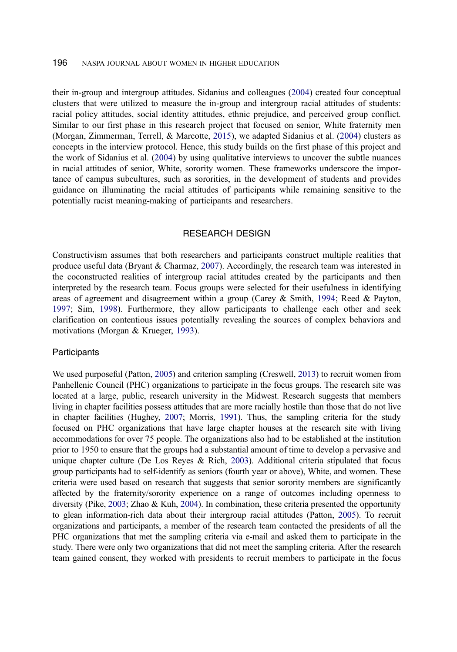#### 196 NASPA JOURNAL ABOUT WOMEN IN HIGHER EDUCATION

their in-group and intergroup attitudes. Sidanius and colleagues [\(2004](#page-20-0)) created four conceptual clusters that were utilized to measure the in-group and intergroup racial attitudes of students: racial policy attitudes, social identity attitudes, ethnic prejudice, and perceived group conflict. Similar to our first phase in this research project that focused on senior, White fraternity men (Morgan, Zimmerman, Terrell, & Marcotte, [2015](#page-19-0)), we adapted Sidanius et al. ([2004\)](#page-20-0) clusters as concepts in the interview protocol. Hence, this study builds on the first phase of this project and the work of Sidanius et al. [\(2004](#page-20-0)) by using qualitative interviews to uncover the subtle nuances in racial attitudes of senior, White, sorority women. These frameworks underscore the importance of campus subcultures, such as sororities, in the development of students and provides guidance on illuminating the racial attitudes of participants while remaining sensitive to the potentially racist meaning-making of participants and researchers.

#### RESEARCH DESIGN

Constructivism assumes that both researchers and participants construct multiple realities that produce useful data (Bryant & Charmaz, [2007\)](#page-17-0). Accordingly, the research team was interested in the coconstructed realities of intergroup racial attitudes created by the participants and then interpreted by the research team. Focus groups were selected for their usefulness in identifying areas of agreement and disagreement within a group (Carey & Smith, [1994;](#page-17-0) Reed & Payton, [1997;](#page-20-0) Sim, [1998\)](#page-20-0). Furthermore, they allow participants to challenge each other and seek clarification on contentious issues potentially revealing the sources of complex behaviors and motivations (Morgan & Krueger, [1993](#page-19-0)).

#### **Participants**

We used purposeful (Patton, [2005](#page-19-0)) and criterion sampling (Creswell, [2013](#page-18-0)) to recruit women from Panhellenic Council (PHC) organizations to participate in the focus groups. The research site was located at a large, public, research university in the Midwest. Research suggests that members living in chapter facilities possess attitudes that are more racially hostile than those that do not live in chapter facilities (Hughey, [2007](#page-18-0); Morris, [1991](#page-19-0)). Thus, the sampling criteria for the study focused on PHC organizations that have large chapter houses at the research site with living accommodations for over 75 people. The organizations also had to be established at the institution prior to 1950 to ensure that the groups had a substantial amount of time to develop a pervasive and unique chapter culture (De Los Reyes & Rich, [2003](#page-18-0)). Additional criteria stipulated that focus group participants had to self-identify as seniors (fourth year or above), White, and women. These criteria were used based on research that suggests that senior sorority members are significantly affected by the fraternity/sorority experience on a range of outcomes including openness to diversity (Pike, [2003](#page-19-0); Zhao & Kuh, [2004\)](#page-20-0). In combination, these criteria presented the opportunity to glean information-rich data about their intergroup racial attitudes (Patton, [2005\)](#page-19-0). To recruit organizations and participants, a member of the research team contacted the presidents of all the PHC organizations that met the sampling criteria via e-mail and asked them to participate in the study. There were only two organizations that did not meet the sampling criteria. After the research team gained consent, they worked with presidents to recruit members to participate in the focus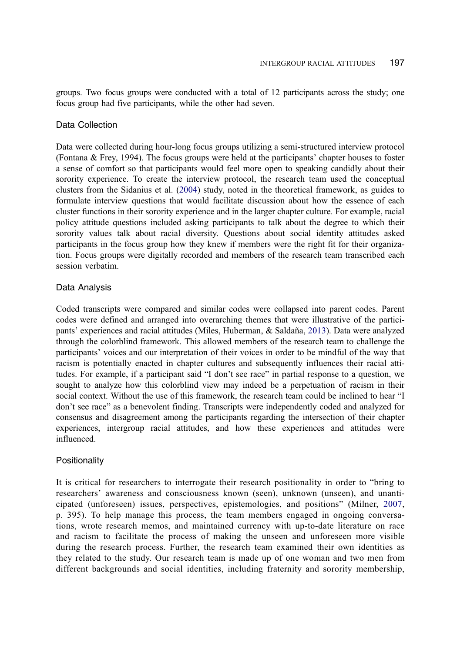groups. Two focus groups were conducted with a total of 12 participants across the study; one focus group had five participants, while the other had seven.

#### Data Collection

Data were collected during hour-long focus groups utilizing a semi-structured interview protocol (Fontana & Frey, 1994). The focus groups were held at the participants' chapter houses to foster a sense of comfort so that participants would feel more open to speaking candidly about their sorority experience. To create the interview protocol, the research team used the conceptual clusters from the Sidanius et al. ([2004\)](#page-20-0) study, noted in the theoretical framework, as guides to formulate interview questions that would facilitate discussion about how the essence of each cluster functions in their sorority experience and in the larger chapter culture. For example, racial policy attitude questions included asking participants to talk about the degree to which their sorority values talk about racial diversity. Questions about social identity attitudes asked participants in the focus group how they knew if members were the right fit for their organization. Focus groups were digitally recorded and members of the research team transcribed each session verbatim.

#### Data Analysis

Coded transcripts were compared and similar codes were collapsed into parent codes. Parent codes were defined and arranged into overarching themes that were illustrative of the participants' experiences and racial attitudes (Miles, Huberman, & Saldaña, [2013\)](#page-19-0). Data were analyzed through the colorblind framework. This allowed members of the research team to challenge the participants' voices and our interpretation of their voices in order to be mindful of the way that racism is potentially enacted in chapter cultures and subsequently influences their racial attitudes. For example, if a participant said "I don't see race" in partial response to a question, we sought to analyze how this colorblind view may indeed be a perpetuation of racism in their social context. Without the use of this framework, the research team could be inclined to hear "I don't see race" as a benevolent finding. Transcripts were independently coded and analyzed for consensus and disagreement among the participants regarding the intersection of their chapter experiences, intergroup racial attitudes, and how these experiences and attitudes were influenced.

#### **Positionality**

It is critical for researchers to interrogate their research positionality in order to "bring to researchers' awareness and consciousness known (seen), unknown (unseen), and unanticipated (unforeseen) issues, perspectives, epistemologies, and positions" (Milner, [2007,](#page-19-0) p. 395). To help manage this process, the team members engaged in ongoing conversations, wrote research memos, and maintained currency with up-to-date literature on race and racism to facilitate the process of making the unseen and unforeseen more visible during the research process. Further, the research team examined their own identities as they related to the study. Our research team is made up of one woman and two men from different backgrounds and social identities, including fraternity and sorority membership,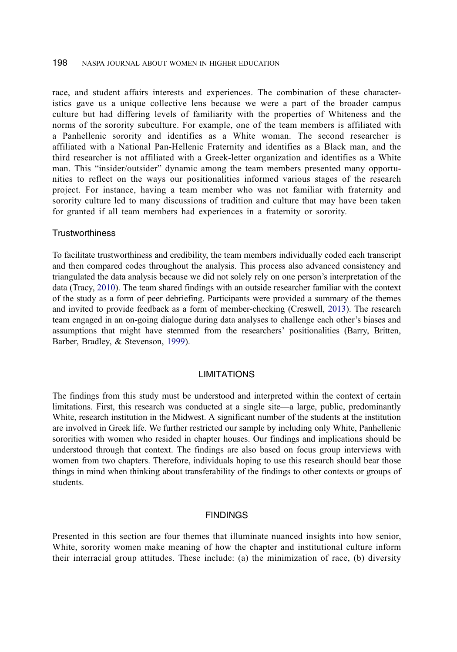#### 198 NASPA JOURNAL ABOUT WOMEN IN HIGHER EDUCATION

race, and student affairs interests and experiences. The combination of these characteristics gave us a unique collective lens because we were a part of the broader campus culture but had differing levels of familiarity with the properties of Whiteness and the norms of the sorority subculture. For example, one of the team members is affiliated with a Panhellenic sorority and identifies as a White woman. The second researcher is affiliated with a National Pan-Hellenic Fraternity and identifies as a Black man, and the third researcher is not affiliated with a Greek-letter organization and identifies as a White man. This "insider/outsider" dynamic among the team members presented many opportunities to reflect on the ways our positionalities informed various stages of the research project. For instance, having a team member who was not familiar with fraternity and sorority culture led to many discussions of tradition and culture that may have been taken for granted if all team members had experiences in a fraternity or sorority.

#### **Trustworthiness**

To facilitate trustworthiness and credibility, the team members individually coded each transcript and then compared codes throughout the analysis. This process also advanced consistency and triangulated the data analysis because we did not solely rely on one person's interpretation of the data (Tracy, [2010](#page-20-0)). The team shared findings with an outside researcher familiar with the context of the study as a form of peer debriefing. Participants were provided a summary of the themes and invited to provide feedback as a form of member-checking (Creswell, [2013\)](#page-18-0). The research team engaged in an on-going dialogue during data analyses to challenge each other's biases and assumptions that might have stemmed from the researchers' positionalities (Barry, Britten, Barber, Bradley, & Stevenson, [1999](#page-17-0)).

#### LIMITATIONS

The findings from this study must be understood and interpreted within the context of certain limitations. First, this research was conducted at a single site—a large, public, predominantly White, research institution in the Midwest. A significant number of the students at the institution are involved in Greek life. We further restricted our sample by including only White, Panhellenic sororities with women who resided in chapter houses. Our findings and implications should be understood through that context. The findings are also based on focus group interviews with women from two chapters. Therefore, individuals hoping to use this research should bear those things in mind when thinking about transferability of the findings to other contexts or groups of students.

#### FINDINGS

Presented in this section are four themes that illuminate nuanced insights into how senior, White, sorority women make meaning of how the chapter and institutional culture inform their interracial group attitudes. These include: (a) the minimization of race, (b) diversity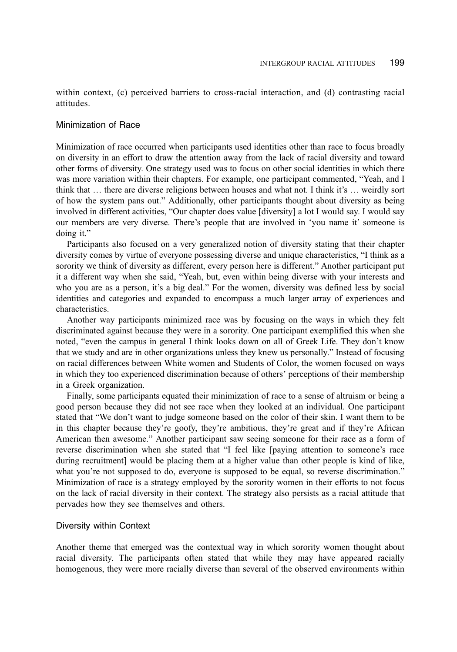within context, (c) perceived barriers to cross-racial interaction, and (d) contrasting racial attitudes.

#### Minimization of Race

Minimization of race occurred when participants used identities other than race to focus broadly on diversity in an effort to draw the attention away from the lack of racial diversity and toward other forms of diversity. One strategy used was to focus on other social identities in which there was more variation within their chapters. For example, one participant commented, "Yeah, and I think that … there are diverse religions between houses and what not. I think it's … weirdly sort of how the system pans out." Additionally, other participants thought about diversity as being involved in different activities, "Our chapter does value [diversity] a lot I would say. I would say our members are very diverse. There's people that are involved in 'you name it' someone is doing it."

Participants also focused on a very generalized notion of diversity stating that their chapter diversity comes by virtue of everyone possessing diverse and unique characteristics, "I think as a sorority we think of diversity as different, every person here is different." Another participant put it a different way when she said, "Yeah, but, even within being diverse with your interests and who you are as a person, it's a big deal." For the women, diversity was defined less by social identities and categories and expanded to encompass a much larger array of experiences and characteristics.

Another way participants minimized race was by focusing on the ways in which they felt discriminated against because they were in a sorority. One participant exemplified this when she noted, "even the campus in general I think looks down on all of Greek Life. They don't know that we study and are in other organizations unless they knew us personally." Instead of focusing on racial differences between White women and Students of Color, the women focused on ways in which they too experienced discrimination because of others' perceptions of their membership in a Greek organization.

Finally, some participants equated their minimization of race to a sense of altruism or being a good person because they did not see race when they looked at an individual. One participant stated that "We don't want to judge someone based on the color of their skin. I want them to be in this chapter because they're goofy, they're ambitious, they're great and if they're African American then awesome." Another participant saw seeing someone for their race as a form of reverse discrimination when she stated that "I feel like [paying attention to someone's race during recruitment] would be placing them at a higher value than other people is kind of like, what you're not supposed to do, everyone is supposed to be equal, so reverse discrimination." Minimization of race is a strategy employed by the sorority women in their efforts to not focus on the lack of racial diversity in their context. The strategy also persists as a racial attitude that pervades how they see themselves and others.

#### Diversity within Context

Another theme that emerged was the contextual way in which sorority women thought about racial diversity. The participants often stated that while they may have appeared racially homogenous, they were more racially diverse than several of the observed environments within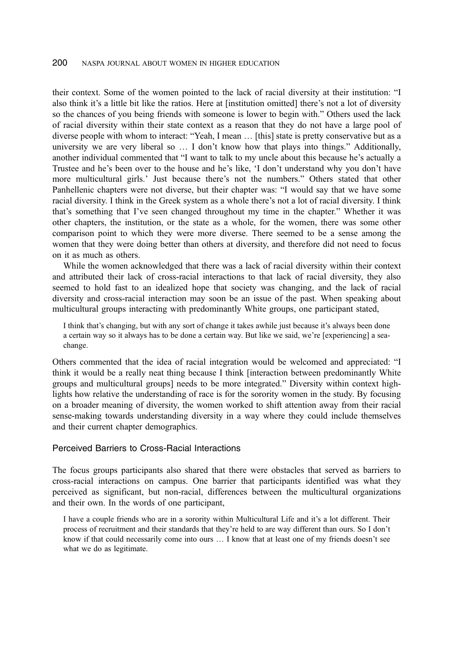their context. Some of the women pointed to the lack of racial diversity at their institution: "I also think it's a little bit like the ratios. Here at [institution omitted] there's not a lot of diversity so the chances of you being friends with someone is lower to begin with." Others used the lack of racial diversity within their state context as a reason that they do not have a large pool of diverse people with whom to interact: "Yeah, I mean … [this] state is pretty conservative but as a university we are very liberal so … I don't know how that plays into things." Additionally, another individual commented that "I want to talk to my uncle about this because he's actually a Trustee and he's been over to the house and he's like, 'I don't understand why you don't have more multicultural girls.' Just because there's not the numbers." Others stated that other Panhellenic chapters were not diverse, but their chapter was: "I would say that we have some racial diversity. I think in the Greek system as a whole there's not a lot of racial diversity. I think that's something that I've seen changed throughout my time in the chapter." Whether it was other chapters, the institution, or the state as a whole, for the women, there was some other comparison point to which they were more diverse. There seemed to be a sense among the women that they were doing better than others at diversity, and therefore did not need to focus on it as much as others.

While the women acknowledged that there was a lack of racial diversity within their context and attributed their lack of cross-racial interactions to that lack of racial diversity, they also seemed to hold fast to an idealized hope that society was changing, and the lack of racial diversity and cross-racial interaction may soon be an issue of the past. When speaking about multicultural groups interacting with predominantly White groups, one participant stated,

I think that's changing, but with any sort of change it takes awhile just because it's always been done a certain way so it always has to be done a certain way. But like we said, we're [experiencing] a seachange.

Others commented that the idea of racial integration would be welcomed and appreciated: "I think it would be a really neat thing because I think [interaction between predominantly White groups and multicultural groups] needs to be more integrated." Diversity within context highlights how relative the understanding of race is for the sorority women in the study. By focusing on a broader meaning of diversity, the women worked to shift attention away from their racial sense-making towards understanding diversity in a way where they could include themselves and their current chapter demographics.

#### Perceived Barriers to Cross-Racial Interactions

The focus groups participants also shared that there were obstacles that served as barriers to cross-racial interactions on campus. One barrier that participants identified was what they perceived as significant, but non-racial, differences between the multicultural organizations and their own. In the words of one participant,

I have a couple friends who are in a sorority within Multicultural Life and it's a lot different. Their process of recruitment and their standards that they're held to are way different than ours. So I don't know if that could necessarily come into ours … I know that at least one of my friends doesn't see what we do as legitimate.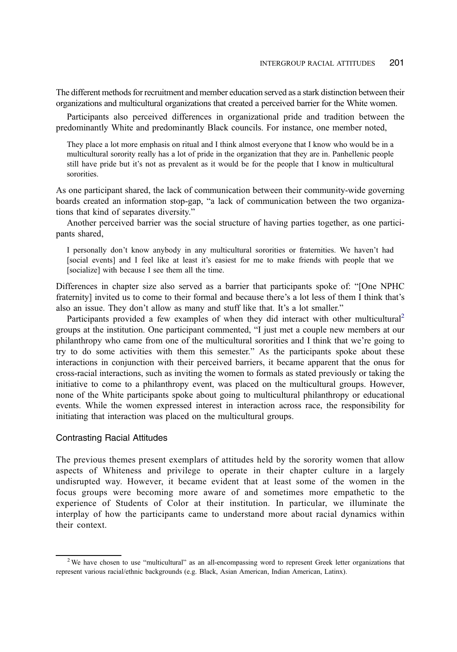The different methods for recruitment and member education served as a stark distinction between their organizations and multicultural organizations that created a perceived barrier for the White women.

Participants also perceived differences in organizational pride and tradition between the predominantly White and predominantly Black councils. For instance, one member noted,

They place a lot more emphasis on ritual and I think almost everyone that I know who would be in a multicultural sorority really has a lot of pride in the organization that they are in. Panhellenic people still have pride but it's not as prevalent as it would be for the people that I know in multicultural sororities.

As one participant shared, the lack of communication between their community-wide governing boards created an information stop-gap, "a lack of communication between the two organizations that kind of separates diversity."

Another perceived barrier was the social structure of having parties together, as one participants shared,

I personally don't know anybody in any multicultural sororities or fraternities. We haven't had [social events] and I feel like at least it's easiest for me to make friends with people that we [socialize] with because I see them all the time.

Differences in chapter size also served as a barrier that participants spoke of: "[One NPHC fraternity] invited us to come to their formal and because there's a lot less of them I think that's also an issue. They don't allow as many and stuff like that. It's a lot smaller."

Participants provided a few examples of when they did interact with other multicultural<sup>2</sup> groups at the institution. One participant commented, "I just met a couple new members at our philanthropy who came from one of the multicultural sororities and I think that we're going to try to do some activities with them this semester." As the participants spoke about these interactions in conjunction with their perceived barriers, it became apparent that the onus for cross-racial interactions, such as inviting the women to formals as stated previously or taking the initiative to come to a philanthropy event, was placed on the multicultural groups. However, none of the White participants spoke about going to multicultural philanthropy or educational events. While the women expressed interest in interaction across race, the responsibility for initiating that interaction was placed on the multicultural groups.

#### Contrasting Racial Attitudes

The previous themes present exemplars of attitudes held by the sorority women that allow aspects of Whiteness and privilege to operate in their chapter culture in a largely undisrupted way. However, it became evident that at least some of the women in the focus groups were becoming more aware of and sometimes more empathetic to the experience of Students of Color at their institution. In particular, we illuminate the interplay of how the participants came to understand more about racial dynamics within their context.

<sup>&</sup>lt;sup>2</sup> We have chosen to use "multicultural" as an all-encompassing word to represent Greek letter organizations that represent various racial/ethnic backgrounds (e.g. Black, Asian American, Indian American, Latinx).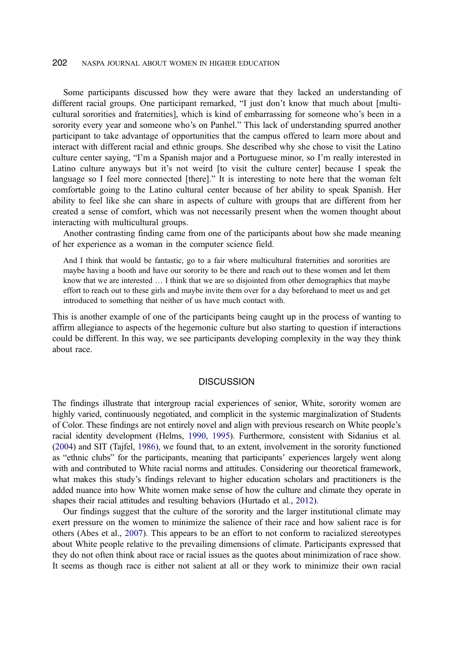#### 202 NASPA JOURNAL ABOUT WOMEN IN HIGHER EDUCATION

Some participants discussed how they were aware that they lacked an understanding of different racial groups. One participant remarked, "I just don't know that much about [multicultural sororities and fraternities], which is kind of embarrassing for someone who's been in a sorority every year and someone who's on Panhel." This lack of understanding spurred another participant to take advantage of opportunities that the campus offered to learn more about and interact with different racial and ethnic groups. She described why she chose to visit the Latino culture center saying, "I'm a Spanish major and a Portuguese minor, so I'm really interested in Latino culture anyways but it's not weird [to visit the culture center] because I speak the language so I feel more connected [there]." It is interesting to note here that the woman felt comfortable going to the Latino cultural center because of her ability to speak Spanish. Her ability to feel like she can share in aspects of culture with groups that are different from her created a sense of comfort, which was not necessarily present when the women thought about interacting with multicultural groups.

Another contrasting finding came from one of the participants about how she made meaning of her experience as a woman in the computer science field.

And I think that would be fantastic, go to a fair where multicultural fraternities and sororities are maybe having a booth and have our sorority to be there and reach out to these women and let them know that we are interested … I think that we are so disjointed from other demographics that maybe effort to reach out to these girls and maybe invite them over for a day beforehand to meet us and get introduced to something that neither of us have much contact with.

This is another example of one of the participants being caught up in the process of wanting to affirm allegiance to aspects of the hegemonic culture but also starting to question if interactions could be different. In this way, we see participants developing complexity in the way they think about race.

#### **DISCUSSION**

The findings illustrate that intergroup racial experiences of senior, White, sorority women are highly varied, continuously negotiated, and complicit in the systemic marginalization of Students of Color. These findings are not entirely novel and align with previous research on White people's racial identity development (Helms, [1990,](#page-18-0) [1995](#page-18-0)). Furthermore, consistent with Sidanius et al. ([2004](#page-20-0)) and SIT (Tajfel, [1986](#page-20-0)), we found that, to an extent, involvement in the sorority functioned as "ethnic clubs" for the participants, meaning that participants' experiences largely went along with and contributed to White racial norms and attitudes. Considering our theoretical framework, what makes this study's findings relevant to higher education scholars and practitioners is the added nuance into how White women make sense of how the culture and climate they operate in shapes their racial attitudes and resulting behaviors (Hurtado et al., [2012\)](#page-18-0).

Our findings suggest that the culture of the sorority and the larger institutional climate may exert pressure on the women to minimize the salience of their race and how salient race is for others (Abes et al., [2007\)](#page-17-0). This appears to be an effort to not conform to racialized stereotypes about White people relative to the prevailing dimensions of climate. Participants expressed that they do not often think about race or racial issues as the quotes about minimization of race show. It seems as though race is either not salient at all or they work to minimize their own racial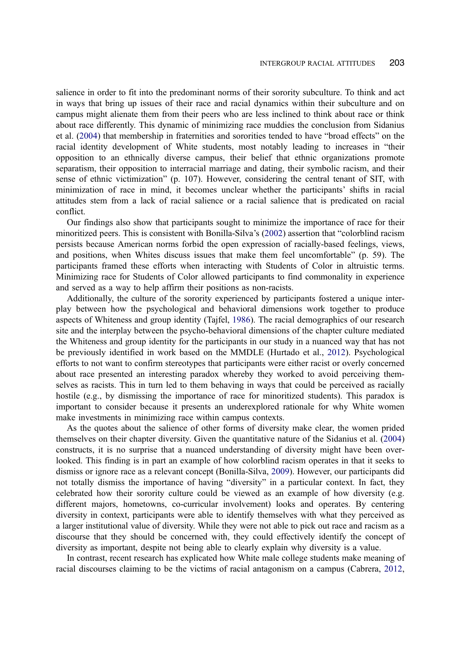salience in order to fit into the predominant norms of their sorority subculture. To think and act in ways that bring up issues of their race and racial dynamics within their subculture and on campus might alienate them from their peers who are less inclined to think about race or think about race differently. This dynamic of minimizing race muddies the conclusion from Sidanius et al. ([2004\)](#page-20-0) that membership in fraternities and sororities tended to have "broad effects" on the racial identity development of White students, most notably leading to increases in "their opposition to an ethnically diverse campus, their belief that ethnic organizations promote separatism, their opposition to interracial marriage and dating, their symbolic racism, and their sense of ethnic victimization" (p. 107). However, considering the central tenant of SIT, with minimization of race in mind, it becomes unclear whether the participants' shifts in racial attitudes stem from a lack of racial salience or a racial salience that is predicated on racial conflict.

Our findings also show that participants sought to minimize the importance of race for their minoritized peers. This is consistent with Bonilla-Silva's ([2002\)](#page-17-0) assertion that "colorblind racism persists because American norms forbid the open expression of racially-based feelings, views, and positions, when Whites discuss issues that make them feel uncomfortable" (p. 59). The participants framed these efforts when interacting with Students of Color in altruistic terms. Minimizing race for Students of Color allowed participants to find commonality in experience and served as a way to help affirm their positions as non-racists.

Additionally, the culture of the sorority experienced by participants fostered a unique interplay between how the psychological and behavioral dimensions work together to produce aspects of Whiteness and group identity (Tajfel, [1986](#page-20-0)). The racial demographics of our research site and the interplay between the psycho-behavioral dimensions of the chapter culture mediated the Whiteness and group identity for the participants in our study in a nuanced way that has not be previously identified in work based on the MMDLE (Hurtado et al., [2012](#page-18-0)). Psychological efforts to not want to confirm stereotypes that participants were either racist or overly concerned about race presented an interesting paradox whereby they worked to avoid perceiving themselves as racists. This in turn led to them behaving in ways that could be perceived as racially hostile (e.g., by dismissing the importance of race for minoritized students). This paradox is important to consider because it presents an underexplored rationale for why White women make investments in minimizing race within campus contexts.

As the quotes about the salience of other forms of diversity make clear, the women prided themselves on their chapter diversity. Given the quantitative nature of the Sidanius et al. ([2004\)](#page-20-0) constructs, it is no surprise that a nuanced understanding of diversity might have been overlooked. This finding is in part an example of how colorblind racism operates in that it seeks to dismiss or ignore race as a relevant concept (Bonilla-Silva, [2009](#page-17-0)). However, our participants did not totally dismiss the importance of having "diversity" in a particular context. In fact, they celebrated how their sorority culture could be viewed as an example of how diversity (e.g. different majors, hometowns, co-curricular involvement) looks and operates. By centering diversity in context, participants were able to identify themselves with what they perceived as a larger institutional value of diversity. While they were not able to pick out race and racism as a discourse that they should be concerned with, they could effectively identify the concept of diversity as important, despite not being able to clearly explain why diversity is a value.

In contrast, recent research has explicated how White male college students make meaning of racial discourses claiming to be the victims of racial antagonism on a campus (Cabrera, [2012,](#page-17-0)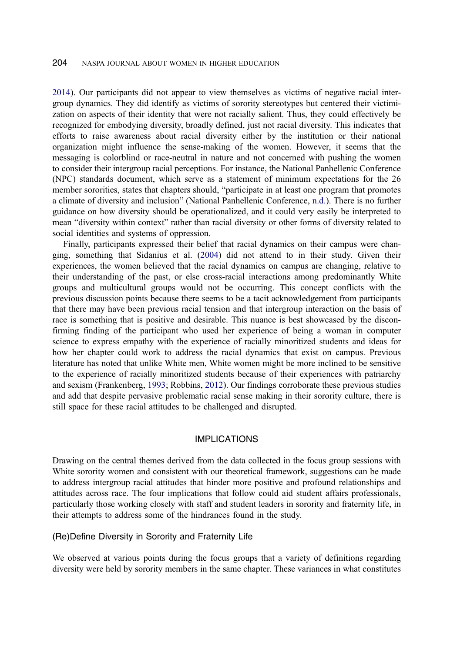[2014\)](#page-17-0). Our participants did not appear to view themselves as victims of negative racial intergroup dynamics. They did identify as victims of sorority stereotypes but centered their victimization on aspects of their identity that were not racially salient. Thus, they could effectively be recognized for embodying diversity, broadly defined, just not racial diversity. This indicates that efforts to raise awareness about racial diversity either by the institution or their national organization might influence the sense-making of the women. However, it seems that the messaging is colorblind or race-neutral in nature and not concerned with pushing the women to consider their intergroup racial perceptions. For instance, the National Panhellenic Conference (NPC) standards document, which serve as a statement of minimum expectations for the 26 member sororities, states that chapters should, "participate in at least one program that promotes a climate of diversity and inclusion" (National Panhellenic Conference, [n.d.](#page-19-0)). There is no further guidance on how diversity should be operationalized, and it could very easily be interpreted to mean "diversity within context" rather than racial diversity or other forms of diversity related to social identities and systems of oppression.

Finally, participants expressed their belief that racial dynamics on their campus were changing, something that Sidanius et al. ([2004\)](#page-20-0) did not attend to in their study. Given their experiences, the women believed that the racial dynamics on campus are changing, relative to their understanding of the past, or else cross-racial interactions among predominantly White groups and multicultural groups would not be occurring. This concept conflicts with the previous discussion points because there seems to be a tacit acknowledgement from participants that there may have been previous racial tension and that intergroup interaction on the basis of race is something that is positive and desirable. This nuance is best showcased by the disconfirming finding of the participant who used her experience of being a woman in computer science to express empathy with the experience of racially minoritized students and ideas for how her chapter could work to address the racial dynamics that exist on campus. Previous literature has noted that unlike White men, White women might be more inclined to be sensitive to the experience of racially minoritized students because of their experiences with patriarchy and sexism (Frankenberg, [1993;](#page-18-0) Robbins, [2012](#page-20-0)). Our findings corroborate these previous studies and add that despite pervasive problematic racial sense making in their sorority culture, there is still space for these racial attitudes to be challenged and disrupted.

#### IMPLICATIONS

Drawing on the central themes derived from the data collected in the focus group sessions with White sorority women and consistent with our theoretical framework, suggestions can be made to address intergroup racial attitudes that hinder more positive and profound relationships and attitudes across race. The four implications that follow could aid student affairs professionals, particularly those working closely with staff and student leaders in sorority and fraternity life, in their attempts to address some of the hindrances found in the study.

#### (Re)Define Diversity in Sorority and Fraternity Life

We observed at various points during the focus groups that a variety of definitions regarding diversity were held by sorority members in the same chapter. These variances in what constitutes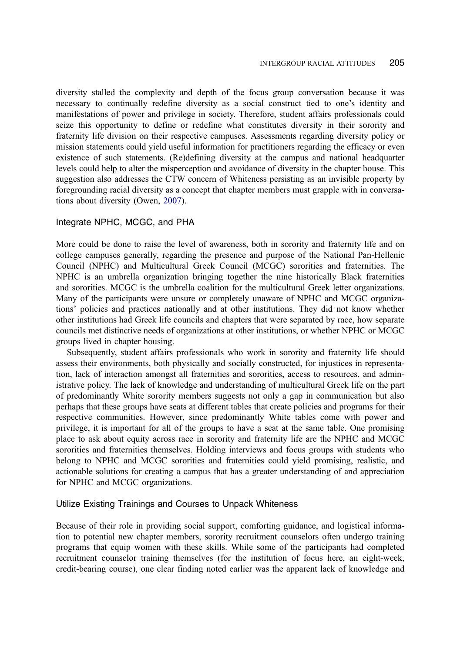diversity stalled the complexity and depth of the focus group conversation because it was necessary to continually redefine diversity as a social construct tied to one's identity and manifestations of power and privilege in society. Therefore, student affairs professionals could seize this opportunity to define or redefine what constitutes diversity in their sorority and fraternity life division on their respective campuses. Assessments regarding diversity policy or mission statements could yield useful information for practitioners regarding the efficacy or even existence of such statements. (Re)defining diversity at the campus and national headquarter levels could help to alter the misperception and avoidance of diversity in the chapter house. This suggestion also addresses the CTW concern of Whiteness persisting as an invisible property by foregrounding racial diversity as a concept that chapter members must grapple with in conversations about diversity (Owen, [2007](#page-19-0)).

#### Integrate NPHC, MCGC, and PHA

More could be done to raise the level of awareness, both in sorority and fraternity life and on college campuses generally, regarding the presence and purpose of the National Pan-Hellenic Council (NPHC) and Multicultural Greek Council (MCGC) sororities and fraternities. The NPHC is an umbrella organization bringing together the nine historically Black fraternities and sororities. MCGC is the umbrella coalition for the multicultural Greek letter organizations. Many of the participants were unsure or completely unaware of NPHC and MCGC organizations' policies and practices nationally and at other institutions. They did not know whether other institutions had Greek life councils and chapters that were separated by race, how separate councils met distinctive needs of organizations at other institutions, or whether NPHC or MCGC groups lived in chapter housing.

Subsequently, student affairs professionals who work in sorority and fraternity life should assess their environments, both physically and socially constructed, for injustices in representation, lack of interaction amongst all fraternities and sororities, access to resources, and administrative policy. The lack of knowledge and understanding of multicultural Greek life on the part of predominantly White sorority members suggests not only a gap in communication but also perhaps that these groups have seats at different tables that create policies and programs for their respective communities. However, since predominantly White tables come with power and privilege, it is important for all of the groups to have a seat at the same table. One promising place to ask about equity across race in sorority and fraternity life are the NPHC and MCGC sororities and fraternities themselves. Holding interviews and focus groups with students who belong to NPHC and MCGC sororities and fraternities could yield promising, realistic, and actionable solutions for creating a campus that has a greater understanding of and appreciation for NPHC and MCGC organizations.

#### Utilize Existing Trainings and Courses to Unpack Whiteness

Because of their role in providing social support, comforting guidance, and logistical information to potential new chapter members, sorority recruitment counselors often undergo training programs that equip women with these skills. While some of the participants had completed recruitment counselor training themselves (for the institution of focus here, an eight-week, credit-bearing course), one clear finding noted earlier was the apparent lack of knowledge and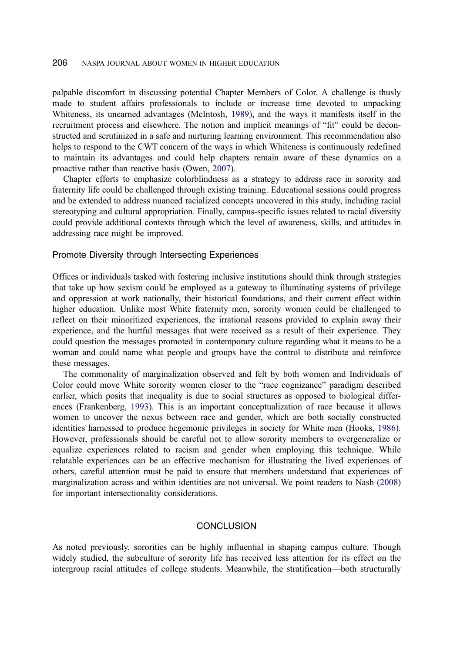palpable discomfort in discussing potential Chapter Members of Color. A challenge is thusly made to student affairs professionals to include or increase time devoted to unpacking Whiteness, its unearned advantages (McIntosh, [1989\)](#page-19-0), and the ways it manifests itself in the recruitment process and elsewhere. The notion and implicit meanings of "fit" could be deconstructed and scrutinized in a safe and nurturing learning environment. This recommendation also helps to respond to the CWT concern of the ways in which Whiteness is continuously redefined to maintain its advantages and could help chapters remain aware of these dynamics on a proactive rather than reactive basis (Owen, [2007](#page-19-0)).

Chapter efforts to emphasize colorblindness as a strategy to address race in sorority and fraternity life could be challenged through existing training. Educational sessions could progress and be extended to address nuanced racialized concepts uncovered in this study, including racial stereotyping and cultural appropriation. Finally, campus-specific issues related to racial diversity could provide additional contexts through which the level of awareness, skills, and attitudes in addressing race might be improved.

#### Promote Diversity through Intersecting Experiences

Offices or individuals tasked with fostering inclusive institutions should think through strategies that take up how sexism could be employed as a gateway to illuminating systems of privilege and oppression at work nationally, their historical foundations, and their current effect within higher education. Unlike most White fraternity men, sorority women could be challenged to reflect on their minoritized experiences, the irrational reasons provided to explain away their experience, and the hurtful messages that were received as a result of their experience. They could question the messages promoted in contemporary culture regarding what it means to be a woman and could name what people and groups have the control to distribute and reinforce these messages.

The commonality of marginalization observed and felt by both women and Individuals of Color could move White sorority women closer to the "race cognizance" paradigm described earlier, which posits that inequality is due to social structures as opposed to biological differences (Frankenberg, [1993](#page-18-0)). This is an important conceptualization of race because it allows women to uncover the nexus between race and gender, which are both socially constructed identities harnessed to produce hegemonic privileges in society for White men (Hooks, [1986](#page-18-0)). However, professionals should be careful not to allow sorority members to overgeneralize or equalize experiences related to racism and gender when employing this technique. While relatable experiences can be an effective mechanism for illustrating the lived experiences of others, careful attention must be paid to ensure that members understand that experiences of marginalization across and within identities are not universal. We point readers to Nash ([2008\)](#page-19-0) for important intersectionality considerations.

#### **CONCLUSION**

As noted previously, sororities can be highly influential in shaping campus culture. Though widely studied, the subculture of sorority life has received less attention for its effect on the intergroup racial attitudes of college students. Meanwhile, the stratification—both structurally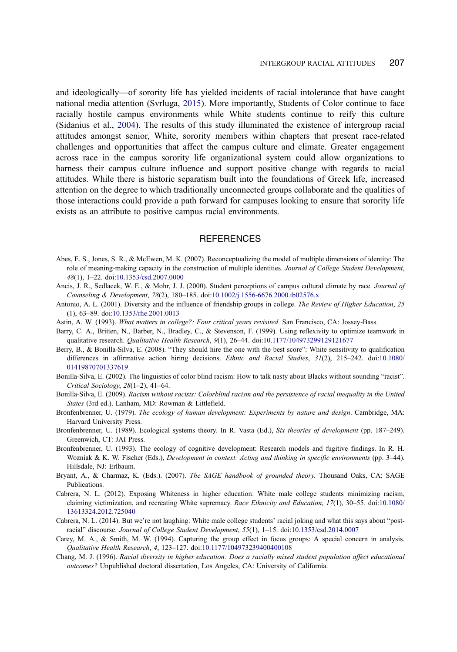<span id="page-17-0"></span>and ideologically—of sorority life has yielded incidents of racial intolerance that have caught national media attention (Svrluga, [2015\)](#page-20-0). More importantly, Students of Color continue to face racially hostile campus environments while White students continue to reify this culture (Sidanius et al., [2004](#page-20-0)). The results of this study illuminated the existence of intergroup racial attitudes amongst senior, White, sorority members within chapters that present race-related challenges and opportunities that affect the campus culture and climate. Greater engagement across race in the campus sorority life organizational system could allow organizations to harness their campus culture influence and support positive change with regards to racial attitudes. While there is historic separatism built into the foundations of Greek life, increased attention on the degree to which traditionally unconnected groups collaborate and the qualities of those interactions could provide a path forward for campuses looking to ensure that sorority life exists as an attribute to positive campus racial environments.

#### **REFERENCES**

- Abes, E. S., Jones, S. R., & McEwen, M. K. (2007). Reconceptualizing the model of multiple dimensions of identity: The role of meaning-making capacity in the construction of multiple identities. Journal of College Student Development, 48(1), 1–22. doi[:10.1353/csd.2007.0000](http://dx.doi.org/10.1353/csd.2007.0000)
- Ancis, J. R., Sedlacek, W. E., & Mohr, J. J. (2000). Student perceptions of campus cultural climate by race. Journal of Counseling & Development, 78(2), 180–185. doi:[10.1002/j.1556-6676.2000.tb02576.x](http://dx.doi.org/10.1002/j.1556-6676.2000.tb02576.x)
- Antonio, A. L. (2001). Diversity and the influence of friendship groups in college. The Review of Higher Education, 25 (1), 63–89. doi[:10.1353/rhe.2001.0013](http://dx.doi.org/10.1353/rhe.2001.0013)
- Astin, A. W. (1993). What matters in college?: Four critical years revisited. San Francisco, CA: Jossey-Bass.
- Barry, C. A., Britten, N., Barber, N., Bradley, C., & Stevenson, F. (1999). Using reflexivity to optimize teamwork in qualitative research. Qualitative Health Research, 9(1), 26–44. doi[:10.1177/104973299129121677](http://dx.doi.org/10.1177/104973299129121677)
- Berry, B., & Bonilla-Silva, E. (2008). "They should hire the one with the best score": White sensitivity to qualification differences in affirmative action hiring decisions. Ethnic and Racial Studies, 31(2), 215–242. doi[:10.1080/](http://dx.doi.org/10.1080/01419870701337619) [01419870701337619](http://dx.doi.org/10.1080/01419870701337619)
- Bonilla-Silva, E. (2002). The linguistics of color blind racism: How to talk nasty about Blacks without sounding "racist". Critical Sociology, 28(1–2), 41–64.
- Bonilla-Silva, E. (2009). Racism without racists: Colorblind racism and the persistence of racial inequality in the United States (3rd ed.). Lanham, MD: Rowman & Littlefield.
- Bronfenbrenner, U. (1979). The ecology of human development: Experiments by nature and design. Cambridge, MA: Harvard University Press.
- Bronfenbrenner, U. (1989). Ecological systems theory. In R. Vasta (Ed.), Six theories of development (pp. 187–249). Greenwich, CT: JAI Press.
- Bronfenbrenner, U. (1993). The ecology of cognitive development: Research models and fugitive findings. In R. H. Wozniak & K. W. Fischer (Eds.), Development in context: Acting and thinking in specific environments (pp. 3–44). Hillsdale, NJ: Erlbaum.
- Bryant, A., & Charmaz, K. (Eds.). (2007). The SAGE handbook of grounded theory. Thousand Oaks, CA: SAGE Publications.
- Cabrera, N. L. (2012). Exposing Whiteness in higher education: White male college students minimizing racism, claiming victimization, and recreating White supremacy. Race Ethnicity and Education, 17(1), 30–55. doi[:10.1080/](http://dx.doi.org/10.1080/13613324.2012.725040) [13613324.2012.725040](http://dx.doi.org/10.1080/13613324.2012.725040)
- Cabrera, N. L. (2014). But we're not laughing: White male college students' racial joking and what this says about "postracial" discourse. Journal of College Student Development, 55(1), 1–15. doi:[10.1353/csd.2014.0007](http://dx.doi.org/10.1353/csd.2014.0007)
- Carey, M. A., & Smith, M. W. (1994). Capturing the group effect in focus groups: A special concern in analysis. Qualitative Health Research, 4, 123–127. doi:[10.1177/104973239400400108](http://dx.doi.org/10.1177/104973239400400108)
- Chang, M. J. (1996). Racial diversity in higher education: Does a racially mixed student population affect educational outcomes? Unpublished doctoral dissertation, Los Angeles, CA: University of California.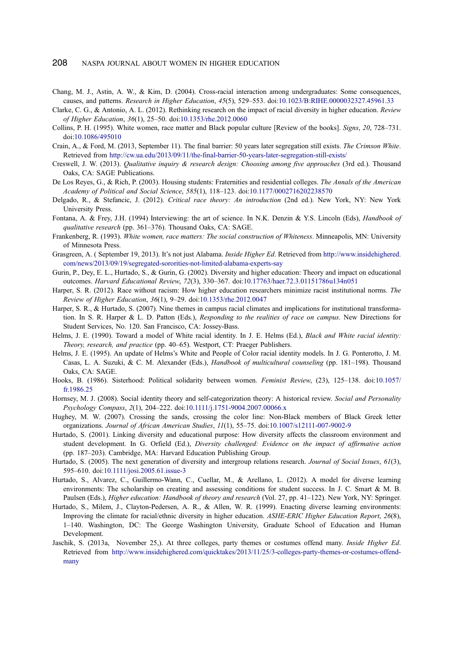- <span id="page-18-0"></span>Chang, M. J., Astin, A. W., & Kim, D. (2004). Cross-racial interaction among undergraduates: Some consequences, causes, and patterns. Research in Higher Education, 45(5), 529–553. doi[:10.1023/B:RIHE.0000032327.45961.33](http://dx.doi.org/10.1023/B:RIHE.0000032327.45961.33)
- Clarke, C. G., & Antonio, A. L. (2012). Rethinking research on the impact of racial diversity in higher education. Review of Higher Education, 36(1), 25–50. doi:[10.1353/rhe.2012.0060](http://dx.doi.org/10.1353/rhe.2012.0060)
- Collins, P. H. (1995). White women, race matter and Black popular culture [Review of the books]. Signs, 20, 728–731. doi:[10.1086/495010](http://dx.doi.org/10.1086/495010)
- Crain, A., & Ford, M. (2013, September 11). The final barrier: 50 years later segregation still exists. The Crimson White. Retrieved from <http://cw.ua.edu/2013/09/11/the-final-barrier-50-years-later-segregation-still-exists/>
- Creswell, J. W. (2013). Qualitative inquiry & research design: Choosing among five approaches (3rd ed.). Thousand Oaks, CA: SAGE Publications.
- De Los Reyes, G., & Rich, P. (2003). Housing students: Fraternities and residential colleges. The Annals of the American Academy of Political and Social Science, 585(1), 118–123. doi[:10.1177/0002716202238570](http://dx.doi.org/10.1177/0002716202238570)
- Delgado, R., & Stefancic, J. (2012). Critical race theory: An introduction (2nd ed.). New York, NY: New York University Press.
- Fontana, A. & Frey, J.H. (1994) Interviewing: the art of science. In N.K. Denzin & Y.S. Lincoln (Eds), Handbook of qualitative research (pp. 361–376). Thousand Oaks, CA: SAGE.
- Frankenberg, R. (1993). White women, race matters: The social construction of Whiteness. Minneapolis, MN: University of Minnesota Press.
- Grasgreen, A. ( September 19, 2013). It's not just Alabama. *Inside Higher Ed*. Retrieved from [http://www.insidehighered.](http://www.insidehighered.com/news/2013/09/19/segregated-sororities-not-limited-alabama-experts-say) [com/news/2013/09/19/segregated-sororities-not-limited-alabama-experts-say](http://www.insidehighered.com/news/2013/09/19/segregated-sororities-not-limited-alabama-experts-say)
- Gurin, P., Dey, E. L., Hurtado, S., & Gurin, G. (2002). Diversity and higher education: Theory and impact on educational outcomes. Harvard Educational Review, 72(3), 330–367. doi:[10.17763/haer.72.3.01151786u134n051](http://dx.doi.org/10.17763/haer.72.3.01151786u134n051)
- Harper, S. R. (2012). Race without racism: How higher education researchers minimize racist institutional norms. The Review of Higher Education, 36(1), 9–29. doi[:10.1353/rhe.2012.0047](http://dx.doi.org/10.1353/rhe.2012.0047)
- Harper, S. R., & Hurtado, S. (2007). Nine themes in campus racial climates and implications for institutional transformation. In S. R. Harper & L. D. Patton (Eds.), Responding to the realities of race on campus. New Directions for Student Services, No. 120. San Francisco, CA: Jossey-Bass.
- Helms, J. E. (1990). Toward a model of White racial identity. In J. E. Helms (Ed.), Black and White racial identity: Theory, research, and practice (pp. 40–65). Westport, CT: Praeger Publishers.
- Helms, J. E. (1995). An update of Helms's White and People of Color racial identity models. In J. G. Ponterotto, J. M. Casas, L. A. Suzuki, & C. M. Alexander (Eds.), Handbook of multicultural counseling (pp. 181–198). Thousand Oaks, CA: SAGE.
- Hooks, B. (1986). Sisterhood: Political solidarity between women. Feminist Review, (23), 125–138. doi[:10.1057/](http://dx.doi.org/10.1057/fr.1986.25) [fr.1986.25](http://dx.doi.org/10.1057/fr.1986.25)
- Hornsey, M. J. (2008). Social identity theory and self-categorization theory: A historical review. Social and Personality Psychology Compass, 2(1), 204–222. doi:[10.1111/j.1751-9004.2007.00066.x](http://dx.doi.org/10.1111/j.1751-9004.2007.00066.x)
- Hughey, M. W. (2007). Crossing the sands, crossing the color line: Non-Black members of Black Greek letter organizations. Journal of African American Studies, 11(1), 55–75. doi[:10.1007/s12111-007-9002-9](http://dx.doi.org/10.1007/s12111-007-9002-9)
- Hurtado, S. (2001). Linking diversity and educational purpose: How diversity affects the classroom environment and student development. In G. Orfield (Ed.), Diversity challenged: Evidence on the impact of affirmative action (pp. 187–203). Cambridge, MA: Harvard Education Publishing Group.
- Hurtado, S. (2005). The next generation of diversity and intergroup relations research. Journal of Social Issues, 61(3), 595–610. doi[:10.1111/josi.2005.61.issue-3](http://dx.doi.org/10.1111/josi.2005.61.issue-3)
- Hurtado, S., Alvarez, C., Guillermo-Wann, C., Cuellar, M., & Arellano, L. (2012). A model for diverse learning environments: The scholarship on creating and assessing conditions for student success. In J. C. Smart & M. B. Paulsen (Eds.), Higher education: Handbook of theory and research (Vol. 27, pp. 41–122). New York, NY: Springer.
- Hurtado, S., Milem, J., Clayton-Pedersen, A. R., & Allen, W. R. (1999). Enacting diverse learning environments: Improving the climate for racial/ethnic diversity in higher education. ASHE-ERIC Higher Education Report, 26(8), 1–140. Washington, DC: The George Washington University, Graduate School of Education and Human Development.
- Jaschik, S. (2013a, November 25,). At three colleges, party themes or costumes offend many. Inside Higher Ed. Retrieved from [http://www.insidehighered.com/quicktakes/2013/11/25/3-colleges-party-themes-or-costumes-offend](http://www.insidehighered.com/quicktakes/2013/11/25/3-colleges-party-themes-or-costumes-offend-many)[many](http://www.insidehighered.com/quicktakes/2013/11/25/3-colleges-party-themes-or-costumes-offend-many)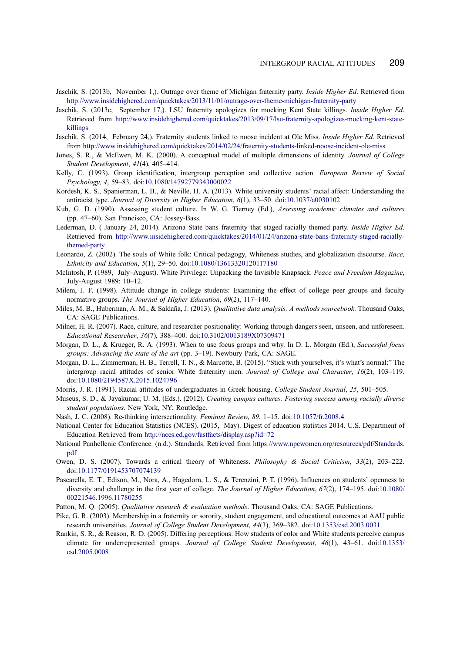- <span id="page-19-0"></span>Jaschik, S. (2013b, November 1,). Outrage over theme of Michigan fraternity party. Inside Higher Ed. Retrieved from <http://www.insidehighered.com/quicktakes/2013/11/01/outrage-over-theme-michigan-fraternity-party>
- Jaschik, S. (2013c, September 17,). LSU fraternity apologizes for mocking Kent State killings. Inside Higher Ed. Retrieved from [http://www.insidehighered.com/quicktakes/2013/09/17/lsu-fraternity-apologizes-mocking-kent-state](http://www.insidehighered.com/quicktakes/2013/09/17/lsu-fraternity-apologizes-mocking-kent-state-killings)[killings](http://www.insidehighered.com/quicktakes/2013/09/17/lsu-fraternity-apologizes-mocking-kent-state-killings)
- Jaschik, S. (2014, February 24,). Fraternity students linked to noose incident at Ole Miss. Inside Higher Ed. Retrieved from <http://www.insidehighered.com/quicktakes/2014/02/24/fraternity-students-linked-noose-incident-ole-miss>
- Jones, S. R., & McEwen, M. K. (2000). A conceptual model of multiple dimensions of identity. Journal of College Student Development, 41(4), 405–414.
- Kelly, C. (1993). Group identification, intergroup perception and collective action. European Review of Social Psychology, 4, 59–83. doi:[10.1080/14792779343000022](http://dx.doi.org/10.1080/14792779343000022)
- Kordesh, K. S., Spanierman, L. B., & Neville, H. A. (2013). White university students' racial affect: Understanding the antiracist type. Journal of Diversity in Higher Education,  $6(1)$ , 33–50. doi:[10.1037/a0030102](http://dx.doi.org/10.1037/a0030102)
- Kuh, G. D. (1990). Assessing student culture. In W. G. Tierney (Ed.), Assessing academic climates and cultures (pp. 47–60). San Francisco, CA: Jossey-Bass.
- Lederman, D. ( January 24, 2014). Arizona State bans fraternity that staged racially themed party. Inside Higher Ed. Retrieved from [http://www.insidehighered.com/quicktakes/2014/01/24/arizona-state-bans-fraternity-staged-racially](http://www.insidehighered.com/quicktakes/2014/01/24/arizona-state-bans-fraternity-staged-racially-themed-party)[themed-party](http://www.insidehighered.com/quicktakes/2014/01/24/arizona-state-bans-fraternity-staged-racially-themed-party)
- Leonardo, Z. (2002). The souls of White folk: Critical pedagogy, Whiteness studies, and globalization discourse. Race, Ethnicity and Education, 5(1), 29–50. doi:[10.1080/13613320120117180](http://dx.doi.org/10.1080/13613320120117180)
- McIntosh, P. (1989, July–August). White Privilege: Unpacking the Invisible Knapsack. Peace and Freedom Magazine, July-August 1989: 10–12.
- Milem, J. F. (1998). Attitude change in college students: Examining the effect of college peer groups and faculty normative groups. The Journal of Higher Education, 69(2), 117–140.
- Miles, M. B., Huberman, A. M., & Saldaña, J. (2013). Qualitative data analysis: A methods sourcebook. Thousand Oaks, CA: SAGE Publications.
- Milner, H. R. (2007). Race, culture, and researcher positionality: Working through dangers seen, unseen, and unforeseen. Educational Researcher, 36(7), 388–400. doi[:10.3102/0013189X07309471](http://dx.doi.org/10.3102/0013189X07309471)
- Morgan, D. L., & Krueger, R. A. (1993). When to use focus groups and why. In D. L. Morgan (Ed.), Successful focus groups: Advancing the state of the art (pp. 3–19). Newbury Park, CA: SAGE.
- Morgan, D. L., Zimmerman, H. B., Terrell, T. N., & Marcotte, B. (2015). "Stick with yourselves, it's what's normal:" The intergroup racial attitudes of senior White fraternity men. Journal of College and Character, 16(2), 103–119. doi:[10.1080/2194587X.2015.1024796](http://dx.doi.org/10.1080/2194587X.2015.1024796)
- Morris, J. R. (1991). Racial attitudes of undergraduates in Greek housing. College Student Journal, 25, 501-505.
- Museus, S. D., & Jayakumar, U. M. (Eds.). (2012). Creating campus cultures: Fostering success among racially diverse student populations. New York, NY: Routledge.
- Nash, J. C. (2008). Re-thinking intersectionality. Feminist Review, 89, 1-15. doi[:10.1057/fr.2008.4](http://dx.doi.org/10.1057/fr.2008.4)
- National Center for Education Statistics (NCES). (2015, May). Digest of education statistics 2014. U.S. Department of Education Retrieved from <http://nces.ed.gov/fastfacts/display.asp?id=72>
- National Panhellenic Conference. (n.d.). Standards. Retrieved from [https://www.npcwomen.org/resources/pdf/Standards.](https://www.npcwomen.org/resources/pdf/Standards.pdf) [pdf](https://www.npcwomen.org/resources/pdf/Standards.pdf)
- Owen, D. S. (2007). Towards a critical theory of Whiteness. *Philosophy & Social Criticism*, 33(2), 203–222. doi:[10.1177/0191453707074139](http://dx.doi.org/10.1177/0191453707074139)
- Pascarella, E. T., Edison, M., Nora, A., Hagedorn, L. S., & Terenzini, P. T. (1996). Influences on students' openness to diversity and challenge in the first year of college. The Journal of Higher Education, 67(2), 174–195. doi[:10.1080/](http://dx.doi.org/10.1080/00221546.1996.11780255) [00221546.1996.11780255](http://dx.doi.org/10.1080/00221546.1996.11780255)
- Patton, M. Q. (2005). Qualitative research & evaluation methods. Thousand Oaks, CA: SAGE Publications.
- Pike, G. R. (2003). Membership in a fraternity or sorority, student engagement, and educational outcomes at AAU public research universities. Journal of College Student Development, 44(3), 369–382. doi[:10.1353/csd.2003.0031](http://dx.doi.org/10.1353/csd.2003.0031)
- Rankin, S. R., & Reason, R. D. (2005). Differing perceptions: How students of color and White students perceive campus climate for underrepresented groups. Journal of College Student Development, 46(1), 43–61. doi[:10.1353/](http://dx.doi.org/10.1353/csd.2005.0008) [csd.2005.0008](http://dx.doi.org/10.1353/csd.2005.0008)